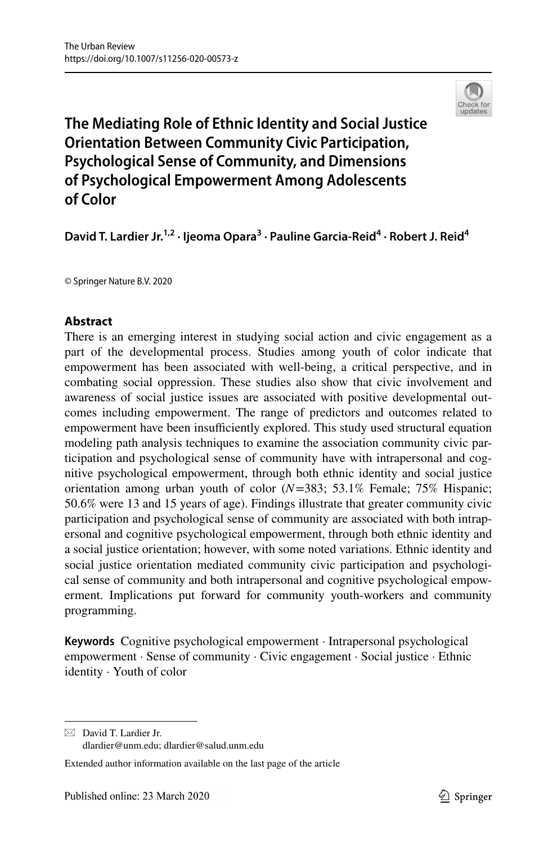

# **The Mediating Role of Ethnic Identity and Social Justice Orientation Between Community Civic Participation, Psychological Sense of Community, and Dimensions of Psychological Empowerment Among Adolescents of Color**

David T. Lardier Jr.<sup>1,2</sup> · Ijeoma Opara<sup>3</sup> · Pauline Garcia-Reid<sup>4</sup> · Robert J. Reid<sup>4</sup>

© Springer Nature B.V. 2020

# **Abstract**

There is an emerging interest in studying social action and civic engagement as a part of the developmental process. Studies among youth of color indicate that empowerment has been associated with well-being, a critical perspective, and in combating social oppression. These studies also show that civic involvement and awareness of social justice issues are associated with positive developmental outcomes including empowerment. The range of predictors and outcomes related to empowerment have been insufficiently explored. This study used structural equation modeling path analysis techniques to examine the association community civic participation and psychological sense of community have with intrapersonal and cognitive psychological empowerment, through both ethnic identity and social justice orientation among urban youth of color (*N*=383; 53.1% Female; 75% Hispanic; 50.6% were 13 and 15 years of age). Findings illustrate that greater community civic participation and psychological sense of community are associated with both intrapersonal and cognitive psychological empowerment, through both ethnic identity and a social justice orientation; however, with some noted variations. Ethnic identity and social justice orientation mediated community civic participation and psychological sense of community and both intrapersonal and cognitive psychological empowerment. Implications put forward for community youth-workers and community programming.

**Keywords** Cognitive psychological empowerment · Intrapersonal psychological empowerment · Sense of community · Civic engagement · Social justice · Ethnic identity · Youth of color

 $\boxtimes$  David T. Lardier Jr. dlardier@unm.edu; dlardier@salud.unm.edu

Extended author information available on the last page of the article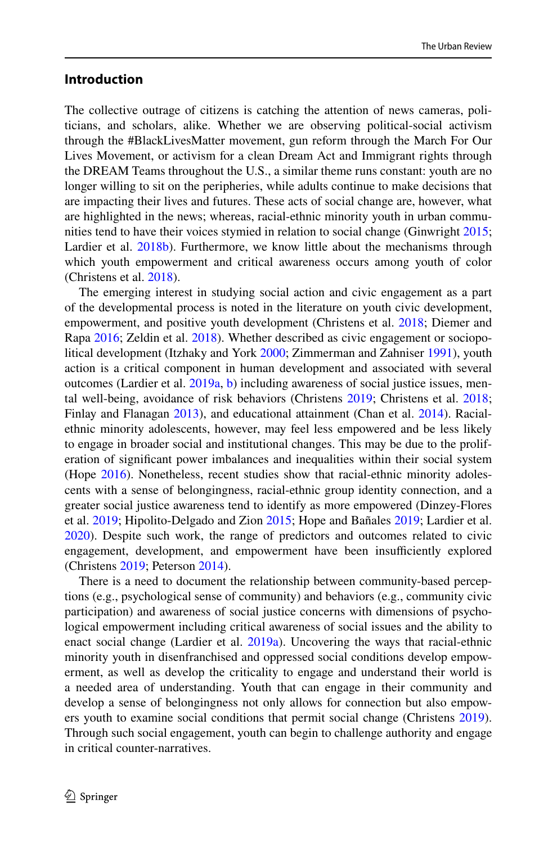## **Introduction**

The collective outrage of citizens is catching the attention of news cameras, politicians, and scholars, alike. Whether we are observing political-social activism through the #BlackLivesMatter movement, gun reform through the March For Our Lives Movement, or activism for a clean Dream Act and Immigrant rights through the DREAM Teams throughout the U.S., a similar theme runs constant: youth are no longer willing to sit on the peripheries, while adults continue to make decisions that are impacting their lives and futures. These acts of social change are, however, what are highlighted in the news; whereas, racial-ethnic minority youth in urban communities tend to have their voices stymied in relation to social change (Ginwright [2015;](#page-17-0) Lardier et al. [2018b](#page-18-0)). Furthermore, we know little about the mechanisms through which youth empowerment and critical awareness occurs among youth of color (Christens et al. [2018\)](#page-16-0).

The emerging interest in studying social action and civic engagement as a part of the developmental process is noted in the literature on youth civic development, empowerment, and positive youth development (Christens et al. [2018;](#page-16-0) Diemer and Rapa [2016](#page-16-1); Zeldin et al. [2018](#page-19-0)). Whether described as civic engagement or sociopolitical development (Itzhaky and York [2000](#page-17-1); Zimmerman and Zahniser [1991](#page-20-0)), youth action is a critical component in human development and associated with several outcomes (Lardier et al. [2019a,](#page-18-1) [b\)](#page-18-2) including awareness of social justice issues, mental well-being, avoidance of risk behaviors (Christens [2019](#page-16-2); Christens et al. [2018;](#page-16-0) Finlay and Flanagan [2013](#page-17-2)), and educational attainment (Chan et al. [2014](#page-16-3)). Racialethnic minority adolescents, however, may feel less empowered and be less likely to engage in broader social and institutional changes. This may be due to the proliferation of signifcant power imbalances and inequalities within their social system (Hope [2016\)](#page-17-3). Nonetheless, recent studies show that racial-ethnic minority adolescents with a sense of belongingness, racial-ethnic group identity connection, and a greater social justice awareness tend to identify as more empowered (Dinzey-Flores et al. [2019](#page-16-4); Hipolito-Delgado and Zion [2015](#page-17-4); Hope and Bañales [2019](#page-17-5); Lardier et al. [2020](#page-18-3)). Despite such work, the range of predictors and outcomes related to civic engagement, development, and empowerment have been insufficiently explored (Christens [2019;](#page-16-2) Peterson [2014\)](#page-18-4).

There is a need to document the relationship between community-based perceptions (e.g., psychological sense of community) and behaviors (e.g., community civic participation) and awareness of social justice concerns with dimensions of psychological empowerment including critical awareness of social issues and the ability to enact social change (Lardier et al. [2019a\)](#page-18-1). Uncovering the ways that racial-ethnic minority youth in disenfranchised and oppressed social conditions develop empowerment, as well as develop the criticality to engage and understand their world is a needed area of understanding. Youth that can engage in their community and develop a sense of belongingness not only allows for connection but also empowers youth to examine social conditions that permit social change (Christens [2019\)](#page-16-2). Through such social engagement, youth can begin to challenge authority and engage in critical counter-narratives.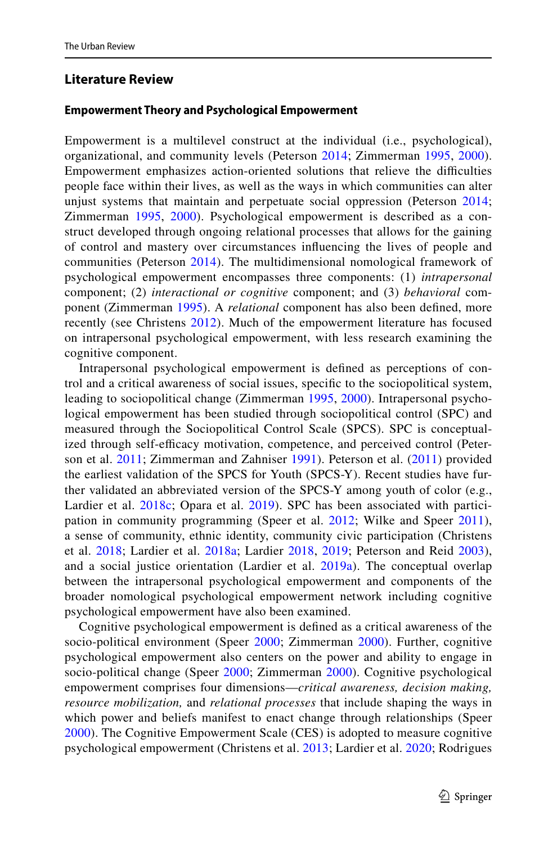# **Literature Review**

### **Empowerment Theory and Psychological Empowerment**

Empowerment is a multilevel construct at the individual (i.e., psychological), organizational, and community levels (Peterson [2014](#page-18-4); Zimmerman [1995,](#page-19-1) [2000](#page-20-1)). Empowerment emphasizes action-oriented solutions that relieve the difficulties people face within their lives, as well as the ways in which communities can alter unjust systems that maintain and perpetuate social oppression (Peterson [2014;](#page-18-4) Zimmerman [1995](#page-19-1), [2000](#page-20-1)). Psychological empowerment is described as a construct developed through ongoing relational processes that allows for the gaining of control and mastery over circumstances infuencing the lives of people and communities (Peterson [2014\)](#page-18-4). The multidimensional nomological framework of psychological empowerment encompasses three components: (1) *intrapersonal* component; (2) *interactional or cognitive* component; and (3) *behavioral* component (Zimmerman [1995](#page-19-1)). A *relational* component has also been defned, more recently (see Christens [2012](#page-16-5)). Much of the empowerment literature has focused on intrapersonal psychological empowerment, with less research examining the cognitive component.

Intrapersonal psychological empowerment is defned as perceptions of control and a critical awareness of social issues, specifc to the sociopolitical system, leading to sociopolitical change (Zimmerman [1995,](#page-19-1) [2000\)](#page-20-1). Intrapersonal psychological empowerment has been studied through sociopolitical control (SPC) and measured through the Sociopolitical Control Scale (SPCS). SPC is conceptualized through self-efficacy motivation, competence, and perceived control (Peterson et al. [2011;](#page-18-5) Zimmerman and Zahniser [1991](#page-20-0)). Peterson et al. ([2011\)](#page-18-5) provided the earliest validation of the SPCS for Youth (SPCS-Y). Recent studies have further validated an abbreviated version of the SPCS-Y among youth of color (e.g., Lardier et al. [2018c;](#page-18-6) Opara et al. [2019\)](#page-18-7). SPC has been associated with participation in community programming (Speer et al. [2012](#page-19-2); Wilke and Speer [2011](#page-19-3)), a sense of community, ethnic identity, community civic participation (Christens et al. [2018](#page-16-0); Lardier et al. [2018a;](#page-18-8) Lardier [2018](#page-17-6), [2019;](#page-17-7) Peterson and Reid [2003](#page-18-9)), and a social justice orientation (Lardier et al. [2019a](#page-18-1)). The conceptual overlap between the intrapersonal psychological empowerment and components of the broader nomological psychological empowerment network including cognitive psychological empowerment have also been examined.

Cognitive psychological empowerment is defned as a critical awareness of the socio-political environment (Speer [2000](#page-20-1); Zimmerman 2000). Further, cognitive psychological empowerment also centers on the power and ability to engage in socio-political change (Speer [2000;](#page-19-4) Zimmerman [2000](#page-20-1)). Cognitive psychological empowerment comprises four dimensions—*critical awareness, decision making, resource mobilization,* and *relational processes* that include shaping the ways in which power and beliefs manifest to enact change through relationships (Speer [2000\)](#page-19-4). The Cognitive Empowerment Scale (CES) is adopted to measure cognitive psychological empowerment (Christens et al. [2013;](#page-16-6) Lardier et al. [2020;](#page-18-3) Rodrigues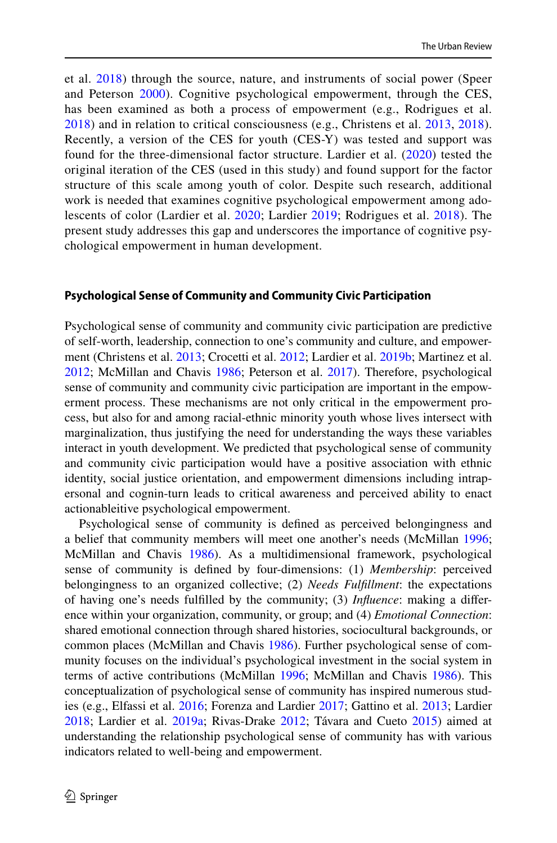et al. [2018\)](#page-19-5) through the source, nature, and instruments of social power (Speer and Peterson [2000\)](#page-19-6). Cognitive psychological empowerment, through the CES, has been examined as both a process of empowerment (e.g., Rodrigues et al. [2018\)](#page-19-5) and in relation to critical consciousness (e.g., Christens et al. [2013](#page-16-6), [2018](#page-16-0)). Recently, a version of the CES for youth (CES-Y) was tested and support was found for the three-dimensional factor structure. Lardier et al. [\(2020](#page-18-3)) tested the original iteration of the CES (used in this study) and found support for the factor structure of this scale among youth of color. Despite such research, additional work is needed that examines cognitive psychological empowerment among adolescents of color (Lardier et al. [2020;](#page-18-3) Lardier [2019](#page-17-7); Rodrigues et al. [2018](#page-19-5)). The present study addresses this gap and underscores the importance of cognitive psychological empowerment in human development.

#### **Psychological Sense of Community and Community Civic Participation**

Psychological sense of community and community civic participation are predictive of self-worth, leadership, connection to one's community and culture, and empowerment (Christens et al. [2013](#page-16-6); Crocetti et al. [2012;](#page-16-7) Lardier et al. [2019b;](#page-18-2) Martinez et al. [2012](#page-18-10); McMillan and Chavis [1986](#page-18-11); Peterson et al. [2017](#page-18-12)). Therefore, psychological sense of community and community civic participation are important in the empowerment process. These mechanisms are not only critical in the empowerment process, but also for and among racial-ethnic minority youth whose lives intersect with marginalization, thus justifying the need for understanding the ways these variables interact in youth development. We predicted that psychological sense of community and community civic participation would have a positive association with ethnic identity, social justice orientation, and empowerment dimensions including intrapersonal and cognin-turn leads to critical awareness and perceived ability to enact actionableitive psychological empowerment.

Psychological sense of community is defned as perceived belongingness and a belief that community members will meet one another's needs (McMillan [1996;](#page-18-13) McMillan and Chavis [1986](#page-18-11)). As a multidimensional framework, psychological sense of community is defned by four-dimensions: (1) *Membership*: perceived belongingness to an organized collective; (2) *Needs Fulfllment*: the expectations of having one's needs fulflled by the community; (3) *Infuence*: making a diference within your organization, community, or group; and (4) *Emotional Connection*: shared emotional connection through shared histories, sociocultural backgrounds, or common places (McMillan and Chavis [1986\)](#page-18-11). Further psychological sense of community focuses on the individual's psychological investment in the social system in terms of active contributions (McMillan [1996;](#page-18-13) McMillan and Chavis [1986\)](#page-18-11). This conceptualization of psychological sense of community has inspired numerous studies (e.g., Elfassi et al. [2016](#page-16-8); Forenza and Lardier [2017;](#page-17-8) Gattino et al. [2013](#page-17-9); Lardier [2018](#page-17-6); Lardier et al. [2019a](#page-18-1); Rivas-Drake [2012](#page-19-7); Távara and Cueto [2015](#page-19-8)) aimed at understanding the relationship psychological sense of community has with various indicators related to well-being and empowerment.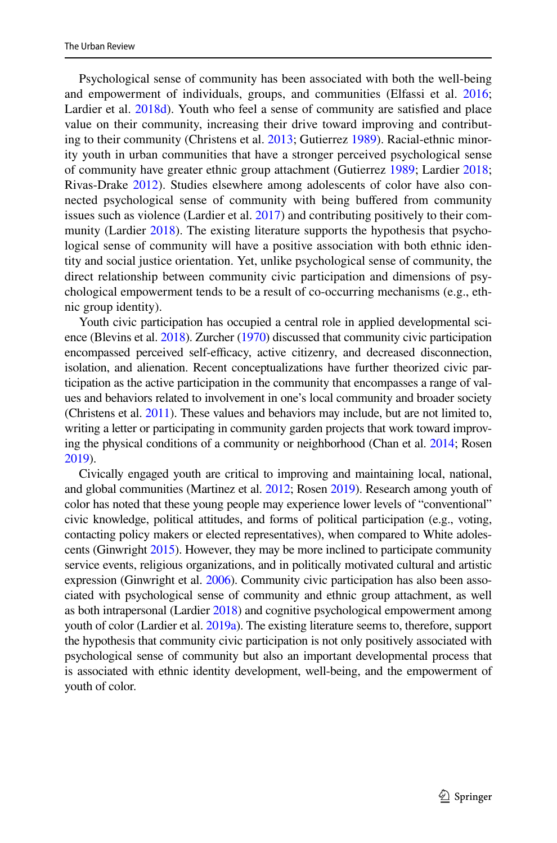Psychological sense of community has been associated with both the well-being and empowerment of individuals, groups, and communities (Elfassi et al. [2016;](#page-16-8) Lardier et al. [2018d\)](#page-18-14). Youth who feel a sense of community are satisfied and place value on their community, increasing their drive toward improving and contributing to their community (Christens et al. [2013](#page-16-6); Gutierrez [1989](#page-17-10)). Racial-ethnic minority youth in urban communities that have a stronger perceived psychological sense of community have greater ethnic group attachment (Gutierrez [1989;](#page-17-10) Lardier [2018;](#page-17-6) Rivas-Drake [2012\)](#page-19-7). Studies elsewhere among adolescents of color have also connected psychological sense of community with being bufered from community issues such as violence (Lardier et al. [2017\)](#page-18-15) and contributing positively to their com-munity (Lardier [2018\)](#page-17-6). The existing literature supports the hypothesis that psychological sense of community will have a positive association with both ethnic identity and social justice orientation. Yet, unlike psychological sense of community, the direct relationship between community civic participation and dimensions of psychological empowerment tends to be a result of co-occurring mechanisms (e.g., ethnic group identity).

Youth civic participation has occupied a central role in applied developmental science (Blevins et al. [2018](#page-16-9)). Zurcher [\(1970\)](#page-20-2) discussed that community civic participation encompassed perceived self-efficacy, active citizenry, and decreased disconnection, isolation, and alienation. Recent conceptualizations have further theorized civic participation as the active participation in the community that encompasses a range of values and behaviors related to involvement in one's local community and broader society (Christens et al. [2011](#page-16-10)). These values and behaviors may include, but are not limited to, writing a letter or participating in community garden projects that work toward improving the physical conditions of a community or neighborhood (Chan et al. [2014;](#page-16-3) Rosen [2019](#page-19-9)).

Civically engaged youth are critical to improving and maintaining local, national, and global communities (Martinez et al. [2012](#page-18-10); Rosen [2019](#page-19-9)). Research among youth of color has noted that these young people may experience lower levels of "conventional" civic knowledge, political attitudes, and forms of political participation (e.g., voting, contacting policy makers or elected representatives), when compared to White adolescents (Ginwright [2015](#page-17-0)). However, they may be more inclined to participate community service events, religious organizations, and in politically motivated cultural and artistic expression (Ginwright et al. [2006\)](#page-17-11). Community civic participation has also been associated with psychological sense of community and ethnic group attachment, as well as both intrapersonal (Lardier [2018\)](#page-17-6) and cognitive psychological empowerment among youth of color (Lardier et al. [2019a](#page-18-1)). The existing literature seems to, therefore, support the hypothesis that community civic participation is not only positively associated with psychological sense of community but also an important developmental process that is associated with ethnic identity development, well-being, and the empowerment of youth of color.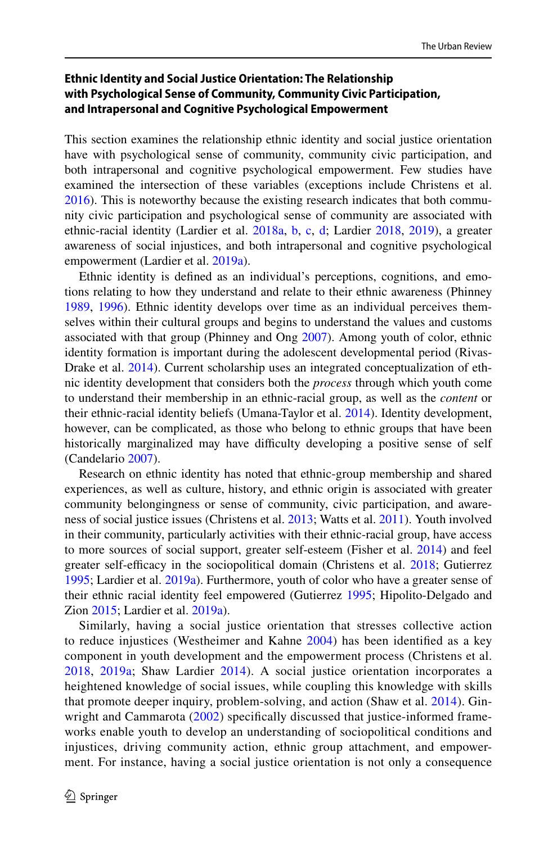# **Ethnic Identity and Social Justice Orientation: The Relationship with Psychological Sense of Community, Community Civic Participation, and Intrapersonal and Cognitive Psychological Empowerment**

This section examines the relationship ethnic identity and social justice orientation have with psychological sense of community, community civic participation, and both intrapersonal and cognitive psychological empowerment. Few studies have examined the intersection of these variables (exceptions include Christens et al. [2016](#page-16-11)). This is noteworthy because the existing research indicates that both community civic participation and psychological sense of community are associated with ethnic-racial identity (Lardier et al. [2018a](#page-18-8), [b](#page-18-0), [c,](#page-18-6) [d](#page-18-14); Lardier [2018,](#page-17-6) [2019\)](#page-17-7), a greater awareness of social injustices, and both intrapersonal and cognitive psychological empowerment (Lardier et al. [2019a](#page-18-1)).

Ethnic identity is defned as an individual's perceptions, cognitions, and emotions relating to how they understand and relate to their ethnic awareness (Phinney [1989](#page-18-16), [1996](#page-18-17)). Ethnic identity develops over time as an individual perceives themselves within their cultural groups and begins to understand the values and customs associated with that group (Phinney and Ong [2007](#page-19-10)). Among youth of color, ethnic identity formation is important during the adolescent developmental period (Rivas-Drake et al. [2014](#page-19-11)). Current scholarship uses an integrated conceptualization of ethnic identity development that considers both the *process* through which youth come to understand their membership in an ethnic-racial group, as well as the *content* or their ethnic-racial identity beliefs (Umana-Taylor et al. [2014](#page-19-12)). Identity development, however, can be complicated, as those who belong to ethnic groups that have been historically marginalized may have difficulty developing a positive sense of self (Candelario [2007\)](#page-16-12).

Research on ethnic identity has noted that ethnic-group membership and shared experiences, as well as culture, history, and ethnic origin is associated with greater community belongingness or sense of community, civic participation, and awareness of social justice issues (Christens et al. [2013](#page-16-6); Watts et al. [2011](#page-19-13)). Youth involved in their community, particularly activities with their ethnic-racial group, have access to more sources of social support, greater self-esteem (Fisher et al. [2014](#page-17-12)) and feel greater self-efficacy in the sociopolitical domain (Christens et al. [2018;](#page-16-0) Gutierrez [1995](#page-17-13); Lardier et al. [2019a\)](#page-18-1). Furthermore, youth of color who have a greater sense of their ethnic racial identity feel empowered (Gutierrez [1995;](#page-17-13) Hipolito-Delgado and Zion [2015](#page-17-4); Lardier et al. [2019a\)](#page-18-1).

Similarly, having a social justice orientation that stresses collective action to reduce injustices (Westheimer and Kahne [2004\)](#page-19-14) has been identifed as a key component in youth development and the empowerment process (Christens et al. [2018,](#page-16-0) [2019a](#page-18-1); Shaw Lardier [2014\)](#page-19-15). A social justice orientation incorporates a heightened knowledge of social issues, while coupling this knowledge with skills that promote deeper inquiry, problem-solving, and action (Shaw et al. [2014\)](#page-19-15). Gin-wright and Cammarota ([2002](#page-17-14)) specifically discussed that justice-informed frameworks enable youth to develop an understanding of sociopolitical conditions and injustices, driving community action, ethnic group attachment, and empowerment. For instance, having a social justice orientation is not only a consequence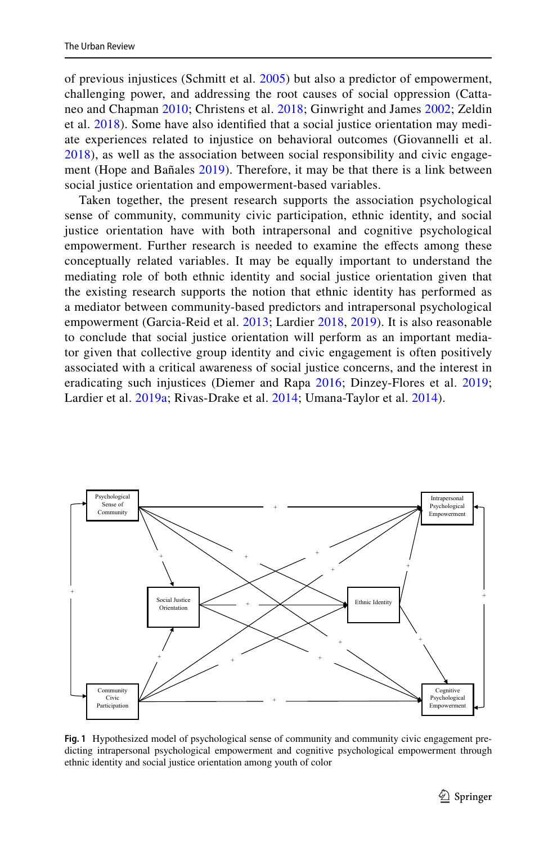of previous injustices (Schmitt et al. [2005\)](#page-19-16) but also a predictor of empowerment, challenging power, and addressing the root causes of social oppression (Cattaneo and Chapman [2010;](#page-16-13) Christens et al. [2018;](#page-16-0) Ginwright and James [2002;](#page-17-14) Zeldin et al. [2018\)](#page-19-0). Some have also identifed that a social justice orientation may mediate experiences related to injustice on behavioral outcomes (Giovannelli et al. [2018\)](#page-17-15), as well as the association between social responsibility and civic engagement (Hope and Bañales [2019\)](#page-17-5). Therefore, it may be that there is a link between social justice orientation and empowerment-based variables.

Taken together, the present research supports the association psychological sense of community, community civic participation, ethnic identity, and social justice orientation have with both intrapersonal and cognitive psychological empowerment. Further research is needed to examine the efects among these conceptually related variables. It may be equally important to understand the mediating role of both ethnic identity and social justice orientation given that the existing research supports the notion that ethnic identity has performed as a mediator between community-based predictors and intrapersonal psychological empowerment (Garcia-Reid et al. [2013](#page-17-16); Lardier [2018](#page-17-6), [2019](#page-17-7)). It is also reasonable to conclude that social justice orientation will perform as an important mediator given that collective group identity and civic engagement is often positively associated with a critical awareness of social justice concerns, and the interest in eradicating such injustices (Diemer and Rapa [2016;](#page-16-1) Dinzey-Flores et al. [2019;](#page-16-4) Lardier et al. [2019a](#page-18-1); Rivas-Drake et al. [2014](#page-19-11); Umana-Taylor et al. [2014\)](#page-19-12).



<span id="page-6-0"></span>**Fig. 1** Hypothesized model of psychological sense of community and community civic engagement predicting intrapersonal psychological empowerment and cognitive psychological empowerment through ethnic identity and social justice orientation among youth of color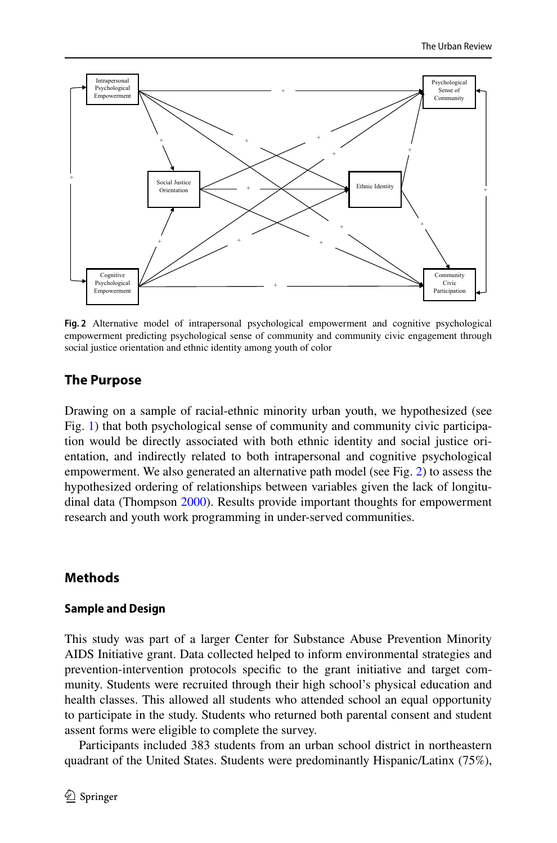

<span id="page-7-0"></span>**Fig. 2** Alternative model of intrapersonal psychological empowerment and cognitive psychological empowerment predicting psychological sense of community and community civic engagement through social justice orientation and ethnic identity among youth of color

# **The Purpose**

Drawing on a sample of racial-ethnic minority urban youth, we hypothesized (see Fig. [1\)](#page-6-0) that both psychological sense of community and community civic participation would be directly associated with both ethnic identity and social justice orientation, and indirectly related to both intrapersonal and cognitive psychological empowerment. We also generated an alternative path model (see Fig. [2](#page-7-0)) to assess the hypothesized ordering of relationships between variables given the lack of longitudinal data (Thompson [2000\)](#page-19-17). Results provide important thoughts for empowerment research and youth work programming in under-served communities.

# **Methods**

## **Sample and Design**

This study was part of a larger Center for Substance Abuse Prevention Minority AIDS Initiative grant. Data collected helped to inform environmental strategies and prevention-intervention protocols specifc to the grant initiative and target community. Students were recruited through their high school's physical education and health classes. This allowed all students who attended school an equal opportunity to participate in the study. Students who returned both parental consent and student assent forms were eligible to complete the survey.

Participants included 383 students from an urban school district in northeastern quadrant of the United States. Students were predominantly Hispanic/Latinx (75%),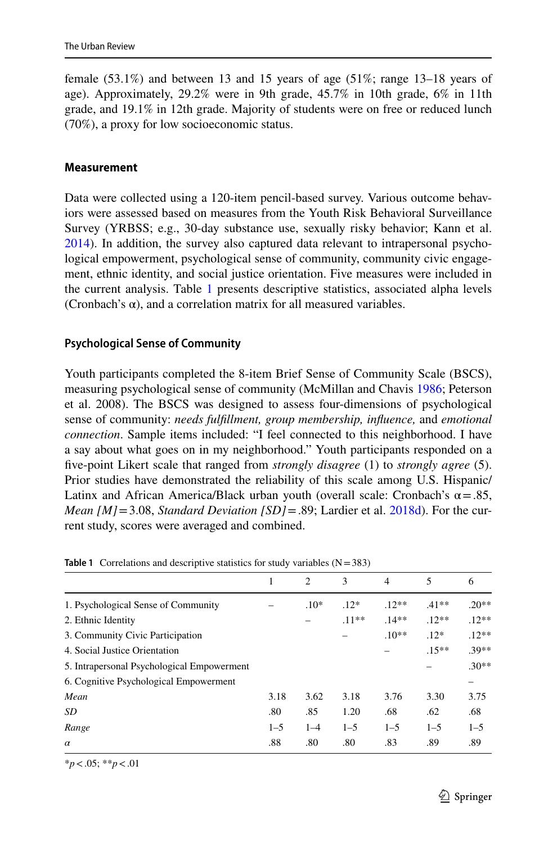female  $(53.1\%)$  and between 13 and 15 years of age  $(51\%)$ ; range 13–18 years of age). Approximately, 29.2% were in 9th grade, 45.7% in 10th grade, 6% in 11th grade, and 19.1% in 12th grade. Majority of students were on free or reduced lunch (70%), a proxy for low socioeconomic status.

## **Measurement**

Data were collected using a 120-item pencil-based survey. Various outcome behaviors were assessed based on measures from the Youth Risk Behavioral Surveillance Survey (YRBSS; e.g., 30-day substance use, sexually risky behavior; Kann et al. [2014](#page-17-17)). In addition, the survey also captured data relevant to intrapersonal psychological empowerment, psychological sense of community, community civic engagement, ethnic identity, and social justice orientation. Five measures were included in the current analysis. Table [1](#page-8-0) presents descriptive statistics, associated alpha levels (Cronbach's  $\alpha$ ), and a correlation matrix for all measured variables.

## **Psychological Sense of Community**

Youth participants completed the 8-item Brief Sense of Community Scale (BSCS), measuring psychological sense of community (McMillan and Chavis [1986;](#page-18-11) Peterson et al. 2008). The BSCS was designed to assess four-dimensions of psychological sense of community: *needs fulfllment, group membership, infuence,* and *emotional connection*. Sample items included: "I feel connected to this neighborhood. I have a say about what goes on in my neighborhood." Youth participants responded on a fve-point Likert scale that ranged from *strongly disagree* (1) to *strongly agree* (5). Prior studies have demonstrated the reliability of this scale among U.S. Hispanic/ Latinx and African America/Black urban youth (overall scale: Cronbach's  $\alpha = .85$ , *Mean [M]*=3.08, *Standard Deviation [SD]*=.89; Lardier et al. [2018d](#page-18-14)). For the current study, scores were averaged and combined.

|                                            |         | $\overline{2}$ | $\mathcal{F}$ | 4       | 5        | 6       |
|--------------------------------------------|---------|----------------|---------------|---------|----------|---------|
| 1. Psychological Sense of Community        |         | $.10*$         | $.12*$        | $12**$  | $.41**$  | $.20**$ |
| 2. Ethnic Identity                         |         |                | $.11**$       | $14**$  | $.12**$  | $.12**$ |
| 3. Community Civic Participation           |         |                |               | $.10**$ | $.12*$   | $.12**$ |
| 4. Social Justice Orientation              |         |                |               |         | $.15***$ | .39**   |
| 5. Intrapersonal Psychological Empowerment |         |                |               |         |          | $.30**$ |
| 6. Cognitive Psychological Empowerment     |         |                |               |         |          |         |
| Mean                                       | 3.18    | 3.62           | 3.18          | 3.76    | 3.30     | 3.75    |
| SD                                         | .80     | .85            | 1.20          | .68     | .62      | .68     |
| Range                                      | $1 - 5$ | $1 - 4$        | $1 - 5$       | $1 - 5$ | $1 - 5$  | $1 - 5$ |
| $\alpha$                                   | .88     | .80            | .80           | .83     | .89      | .89     |

<span id="page-8-0"></span>**Table 1** Correlations and descriptive statistics for study variables  $(N=383)$ 

\**p*<.05; \*\**p*<.01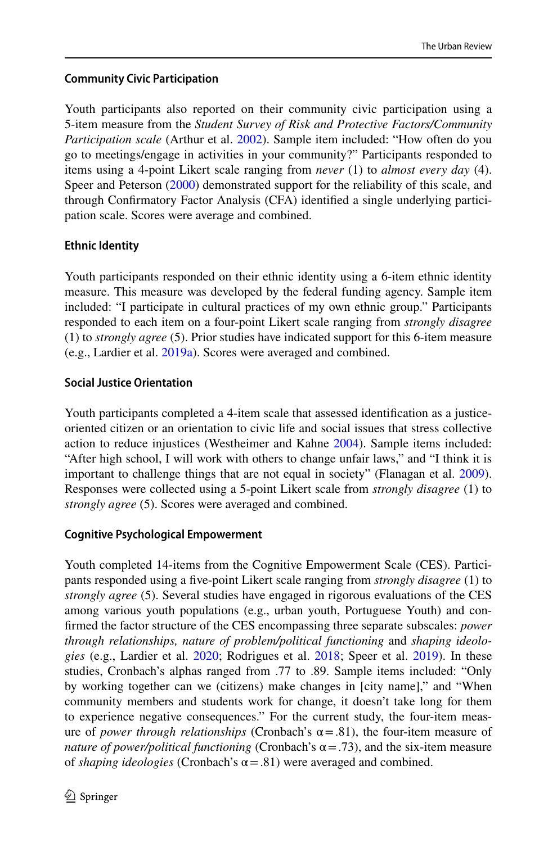# **Community Civic Participation**

Youth participants also reported on their community civic participation using a 5-item measure from the *Student Survey of Risk and Protective Factors/Community Participation scale* (Arthur et al. [2002](#page-16-14)). Sample item included: "How often do you go to meetings/engage in activities in your community?" Participants responded to items using a 4-point Likert scale ranging from *never* (1) to *almost every day* (4). Speer and Peterson [\(2000](#page-19-6)) demonstrated support for the reliability of this scale, and through Confrmatory Factor Analysis (CFA) identifed a single underlying participation scale. Scores were average and combined.

# **Ethnic Identity**

Youth participants responded on their ethnic identity using a 6-item ethnic identity measure. This measure was developed by the federal funding agency. Sample item included: "I participate in cultural practices of my own ethnic group." Participants responded to each item on a four-point Likert scale ranging from *strongly disagree* (1) to *strongly agree* (5). Prior studies have indicated support for this 6-item measure (e.g., Lardier et al. [2019a\)](#page-18-1). Scores were averaged and combined.

# **Social Justice Orientation**

Youth participants completed a 4-item scale that assessed identifcation as a justiceoriented citizen or an orientation to civic life and social issues that stress collective action to reduce injustices (Westheimer and Kahne [2004](#page-19-14)). Sample items included: "After high school, I will work with others to change unfair laws," and "I think it is important to challenge things that are not equal in society" (Flanagan et al. [2009\)](#page-17-18). Responses were collected using a 5-point Likert scale from *strongly disagree* (1) to *strongly agree* (5). Scores were averaged and combined.

## **Cognitive Psychological Empowerment**

Youth completed 14-items from the Cognitive Empowerment Scale (CES). Participants responded using a fve-point Likert scale ranging from *strongly disagree* (1) to *strongly agree* (5). Several studies have engaged in rigorous evaluations of the CES among various youth populations (e.g., urban youth, Portuguese Youth) and confrmed the factor structure of the CES encompassing three separate subscales: *power through relationships, nature of problem/political functioning* and *shaping ideologies* (e.g., Lardier et al. [2020;](#page-18-3) Rodrigues et al. [2018](#page-19-5); Speer et al. [2019](#page-19-18)). In these studies, Cronbach's alphas ranged from .77 to .89. Sample items included: "Only by working together can we (citizens) make changes in [city name]," and "When community members and students work for change, it doesn't take long for them to experience negative consequences." For the current study, the four-item measure of *power through relationships* (Cronbach's  $\alpha = .81$ ), the four-item measure of *nature of power/political functioning* (Cronbach's  $\alpha = .73$ ), and the six-item measure of *shaping ideologies* (Cronbach's  $\alpha = .81$ ) were averaged and combined.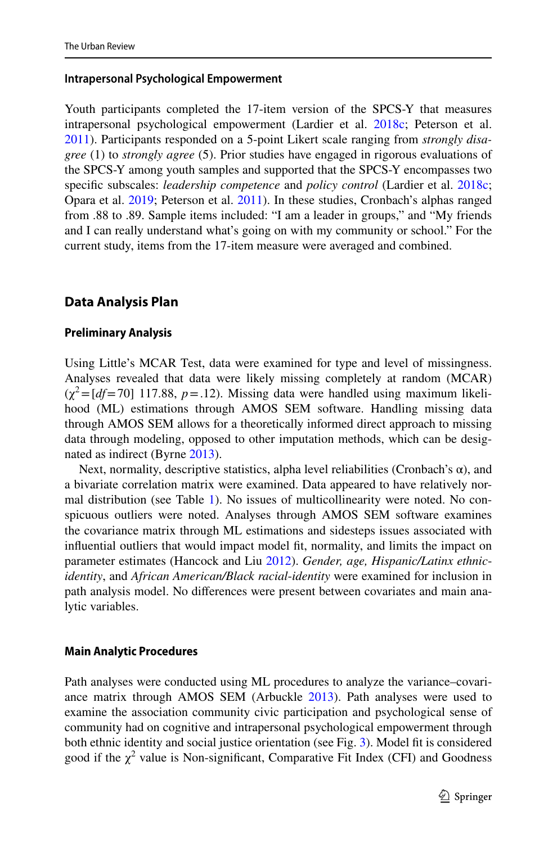#### **Intrapersonal Psychological Empowerment**

Youth participants completed the 17-item version of the SPCS-Y that measures intrapersonal psychological empowerment (Lardier et al. [2018c](#page-18-6); Peterson et al. [2011](#page-18-5)). Participants responded on a 5-point Likert scale ranging from *strongly disagree* (1) to *strongly agree* (5). Prior studies have engaged in rigorous evaluations of the SPCS-Y among youth samples and supported that the SPCS-Y encompasses two specifc subscales: *leadership competence* and *policy control* (Lardier et al. [2018c;](#page-18-6) Opara et al. [2019](#page-18-7); Peterson et al. [2011](#page-18-5)). In these studies, Cronbach's alphas ranged from .88 to .89. Sample items included: "I am a leader in groups," and "My friends and I can really understand what's going on with my community or school." For the current study, items from the 17-item measure were averaged and combined.

# **Data Analysis Plan**

#### **Preliminary Analysis**

Using Little's MCAR Test, data were examined for type and level of missingness. Analyses revealed that data were likely missing completely at random (MCAR)  $(\chi^2 = [df = 70]$  117.88,  $p = .12$ ). Missing data were handled using maximum likelihood (ML) estimations through AMOS SEM software. Handling missing data through AMOS SEM allows for a theoretically informed direct approach to missing data through modeling, opposed to other imputation methods, which can be designated as indirect (Byrne [2013\)](#page-16-15).

Next, normality, descriptive statistics, alpha level reliabilities (Cronbach's  $\alpha$ ), and a bivariate correlation matrix were examined. Data appeared to have relatively normal distribution (see Table [1\)](#page-8-0). No issues of multicollinearity were noted. No conspicuous outliers were noted. Analyses through AMOS SEM software examines the covariance matrix through ML estimations and sidesteps issues associated with infuential outliers that would impact model ft, normality, and limits the impact on parameter estimates (Hancock and Liu [2012\)](#page-17-19). *Gender, age, Hispanic/Latinx ethnicidentity*, and *African American/Black racial*-*identity* were examined for inclusion in path analysis model. No diferences were present between covariates and main analytic variables.

#### **Main Analytic Procedures**

Path analyses were conducted using ML procedures to analyze the variance–covariance matrix through AMOS SEM (Arbuckle [2013](#page-16-16)). Path analyses were used to examine the association community civic participation and psychological sense of community had on cognitive and intrapersonal psychological empowerment through both ethnic identity and social justice orientation (see Fig. [3\)](#page-11-0). Model fit is considered good if the  $\chi^2$  value is Non-significant, Comparative Fit Index (CFI) and Goodness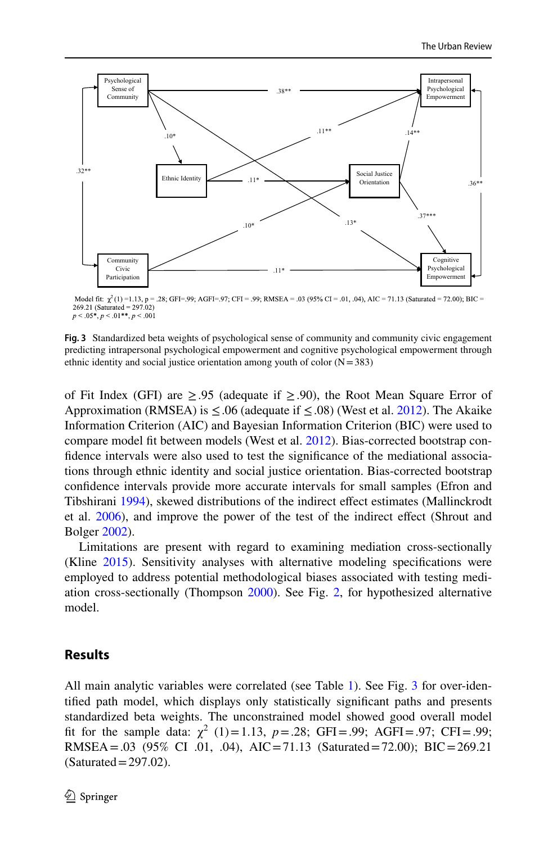

Model fit:  $\chi^2(1) = 1.13$ , p = .28; GFI=.99; AGFI=.97; CFI = .99; RMSEA = .03 (95% CI = .01, .04), AIC = 71.13 (Saturated = 72.00); BIC =  $269.21$  (Saturated =  $297.02$ )  $p < .05^*$ ,  $p < .01^{**}$ ,  $p < .001$ 

<span id="page-11-0"></span>**Fig. 3** Standardized beta weights of psychological sense of community and community civic engagement predicting intrapersonal psychological empowerment and cognitive psychological empowerment through ethnic identity and social justice orientation among youth of color  $(N=383)$ 

of Fit Index (GFI) are  $\geq .95$  (adequate if  $\geq .90$ ), the Root Mean Square Error of Approximation (RMSEA) is  $\leq$ .06 (adequate if  $\leq$ .08) (West et al. [2012](#page-19-19)). The Akaike Information Criterion (AIC) and Bayesian Information Criterion (BIC) were used to compare model ft between models (West et al. [2012](#page-19-19)). Bias-corrected bootstrap confdence intervals were also used to test the signifcance of the mediational associations through ethnic identity and social justice orientation. Bias-corrected bootstrap confdence intervals provide more accurate intervals for small samples (Efron and Tibshirani [1994\)](#page-16-17), skewed distributions of the indirect efect estimates (Mallinckrodt et al. [2006\)](#page-18-18), and improve the power of the test of the indirect efect (Shrout and Bolger [2002\)](#page-19-20).

Limitations are present with regard to examining mediation cross-sectionally (Kline [2015](#page-17-20)). Sensitivity analyses with alternative modeling specifcations were employed to address potential methodological biases associated with testing mediation cross-sectionally (Thompson [2000\)](#page-19-17). See Fig. [2](#page-7-0), for hypothesized alternative model.

## **Results**

All main analytic variables were correlated (see Table [1](#page-8-0)). See Fig. [3](#page-11-0) for over-identifed path model, which displays only statistically signifcant paths and presents standardized beta weights. The unconstrained model showed good overall model fit for the sample data:  $\chi^2$  (1)=1.13, *p* = .28; GFI = .99; AGFI = .97; CFI = .99; RMSEA =  $.03$  (95% CI  $.01$ ,  $.04$ ), AIC = 71.13 (Saturated = 72.00); BIC = 269.21  $(Saturated = 297.02)$ .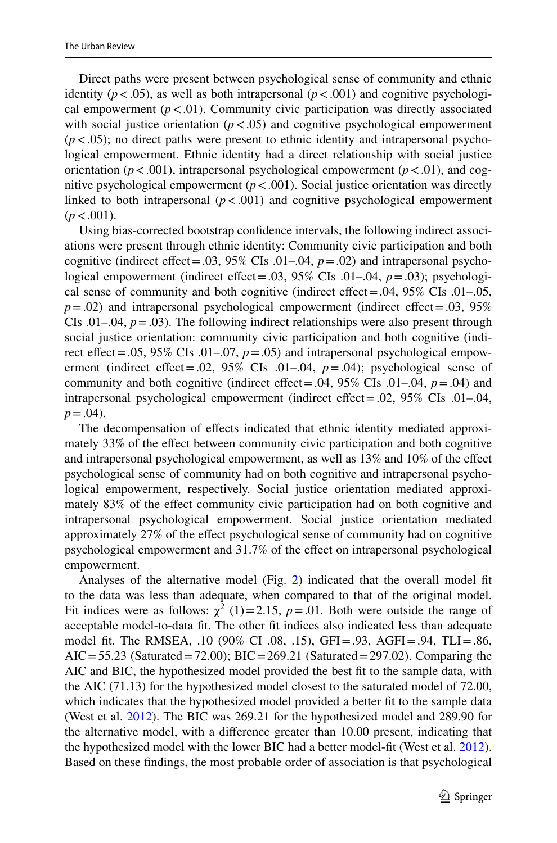Direct paths were present between psychological sense of community and ethnic identity ( $p < .05$ ), as well as both intrapersonal ( $p < .001$ ) and cognitive psychological empowerment  $(p < .01)$ . Community civic participation was directly associated with social justice orientation  $(p < .05)$  and cognitive psychological empowerment  $(p<.05)$ ; no direct paths were present to ethnic identity and intrapersonal psychological empowerment. Ethnic identity had a direct relationship with social justice orientation ( $p < .001$ ), intrapersonal psychological empowerment ( $p < .01$ ), and cognitive psychological empowerment  $(p < .001)$ . Social justice orientation was directly linked to both intrapersonal  $(p < .001)$  and cognitive psychological empowerment  $(p < .001)$ .

Using bias-corrected bootstrap confdence intervals, the following indirect associations were present through ethnic identity: Community civic participation and both cognitive (indirect effect = .03,  $95\%$  CIs .01–.04,  $p = .02$ ) and intrapersonal psychological empowerment (indirect efect=.03, 95% CIs .01–.04, *p*=.03); psychological sense of community and both cognitive (indirect efect=.04, 95% CIs .01–.05,  $p = .02$ ) and intrapersonal psychological empowerment (indirect effect = .03, 95% CIs .01–.04,  $p = .03$ ). The following indirect relationships were also present through social justice orientation: community civic participation and both cognitive (indirect effect = .05,  $95\%$  CIs .01–.07,  $p = .05$ ) and intrapersonal psychological empowerment (indirect effect=.02,  $95\%$  CIs .01–.04,  $p = .04$ ); psychological sense of community and both cognitive (indirect efect=.04, 95% CIs .01–.04, *p*=.04) and intrapersonal psychological empowerment (indirect efect=.02, 95% CIs .01–.04,  $p = .04$ ).

The decompensation of efects indicated that ethnic identity mediated approximately 33% of the efect between community civic participation and both cognitive and intrapersonal psychological empowerment, as well as 13% and 10% of the efect psychological sense of community had on both cognitive and intrapersonal psychological empowerment, respectively. Social justice orientation mediated approximately 83% of the efect community civic participation had on both cognitive and intrapersonal psychological empowerment. Social justice orientation mediated approximately 27% of the efect psychological sense of community had on cognitive psychological empowerment and 31.7% of the efect on intrapersonal psychological empowerment.

Analyses of the alternative model (Fig. [2](#page-7-0)) indicated that the overall model ft to the data was less than adequate, when compared to that of the original model. Fit indices were as follows:  $\chi^2$  (1)=2.15, *p* = 0.01. Both were outside the range of acceptable model-to-data ft. The other ft indices also indicated less than adequate model ft. The RMSEA, .10 (90% CI .08, .15), GFI=.93, AGFI=.94, TLI=.86,  $AIC = 55.23$  (Saturated = 72.00); BIC = 269.21 (Saturated = 297.02). Comparing the AIC and BIC, the hypothesized model provided the best ft to the sample data, with the AIC (71.13) for the hypothesized model closest to the saturated model of 72.00, which indicates that the hypothesized model provided a better ft to the sample data (West et al. [2012](#page-19-19)). The BIC was 269.21 for the hypothesized model and 289.90 for the alternative model, with a diference greater than 10.00 present, indicating that the hypothesized model with the lower BIC had a better model-ft (West et al. [2012\)](#page-19-19). Based on these fndings, the most probable order of association is that psychological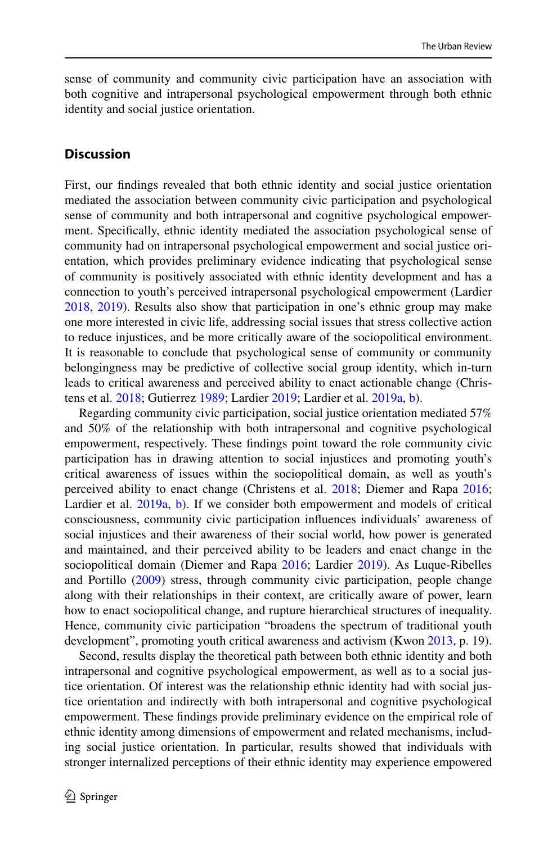sense of community and community civic participation have an association with both cognitive and intrapersonal psychological empowerment through both ethnic identity and social justice orientation.

### **Discussion**

First, our fndings revealed that both ethnic identity and social justice orientation mediated the association between community civic participation and psychological sense of community and both intrapersonal and cognitive psychological empowerment. Specifcally, ethnic identity mediated the association psychological sense of community had on intrapersonal psychological empowerment and social justice orientation, which provides preliminary evidence indicating that psychological sense of community is positively associated with ethnic identity development and has a connection to youth's perceived intrapersonal psychological empowerment (Lardier [2018](#page-17-6), [2019](#page-17-7)). Results also show that participation in one's ethnic group may make one more interested in civic life, addressing social issues that stress collective action to reduce injustices, and be more critically aware of the sociopolitical environment. It is reasonable to conclude that psychological sense of community or community belongingness may be predictive of collective social group identity, which in-turn leads to critical awareness and perceived ability to enact actionable change (Christens et al. [2018](#page-16-0); Gutierrez [1989](#page-17-10); Lardier [2019](#page-17-7); Lardier et al. [2019a,](#page-18-1) [b\)](#page-18-2).

Regarding community civic participation, social justice orientation mediated 57% and 50% of the relationship with both intrapersonal and cognitive psychological empowerment, respectively. These fndings point toward the role community civic participation has in drawing attention to social injustices and promoting youth's critical awareness of issues within the sociopolitical domain, as well as youth's perceived ability to enact change (Christens et al. [2018;](#page-16-0) Diemer and Rapa [2016;](#page-16-1) Lardier et al. [2019a,](#page-18-1) [b\)](#page-18-2). If we consider both empowerment and models of critical consciousness, community civic participation infuences individuals' awareness of social injustices and their awareness of their social world, how power is generated and maintained, and their perceived ability to be leaders and enact change in the sociopolitical domain (Diemer and Rapa [2016](#page-16-1); Lardier [2019](#page-17-7)). As Luque-Ribelles and Portillo [\(2009](#page-18-19)) stress, through community civic participation, people change along with their relationships in their context, are critically aware of power, learn how to enact sociopolitical change, and rupture hierarchical structures of inequality. Hence, community civic participation "broadens the spectrum of traditional youth development", promoting youth critical awareness and activism (Kwon [2013,](#page-17-21) p. 19).

Second, results display the theoretical path between both ethnic identity and both intrapersonal and cognitive psychological empowerment, as well as to a social justice orientation. Of interest was the relationship ethnic identity had with social justice orientation and indirectly with both intrapersonal and cognitive psychological empowerment. These fndings provide preliminary evidence on the empirical role of ethnic identity among dimensions of empowerment and related mechanisms, including social justice orientation. In particular, results showed that individuals with stronger internalized perceptions of their ethnic identity may experience empowered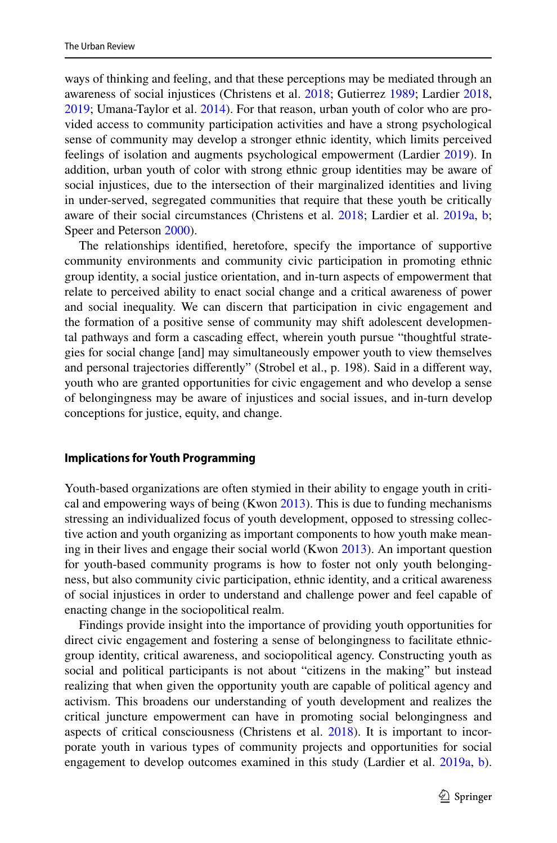ways of thinking and feeling, and that these perceptions may be mediated through an awareness of social injustices (Christens et al. [2018;](#page-16-0) Gutierrez [1989](#page-17-10); Lardier [2018,](#page-17-6) [2019](#page-17-7); Umana-Taylor et al. [2014](#page-19-12)). For that reason, urban youth of color who are provided access to community participation activities and have a strong psychological sense of community may develop a stronger ethnic identity, which limits perceived feelings of isolation and augments psychological empowerment (Lardier [2019\)](#page-17-7). In addition, urban youth of color with strong ethnic group identities may be aware of social injustices, due to the intersection of their marginalized identities and living in under-served, segregated communities that require that these youth be critically aware of their social circumstances (Christens et al. [2018](#page-16-0); Lardier et al. [2019a,](#page-18-1) [b;](#page-18-2) Speer and Peterson [2000\)](#page-19-6).

The relationships identifed, heretofore, specify the importance of supportive community environments and community civic participation in promoting ethnic group identity, a social justice orientation, and in-turn aspects of empowerment that relate to perceived ability to enact social change and a critical awareness of power and social inequality. We can discern that participation in civic engagement and the formation of a positive sense of community may shift adolescent developmental pathways and form a cascading efect, wherein youth pursue "thoughtful strategies for social change [and] may simultaneously empower youth to view themselves and personal trajectories diferently" (Strobel et al., p. 198). Said in a diferent way, youth who are granted opportunities for civic engagement and who develop a sense of belongingness may be aware of injustices and social issues, and in-turn develop conceptions for justice, equity, and change.

#### **Implications for Youth Programming**

Youth-based organizations are often stymied in their ability to engage youth in critical and empowering ways of being (Kwon  $2013$ ). This is due to funding mechanisms stressing an individualized focus of youth development, opposed to stressing collective action and youth organizing as important components to how youth make meaning in their lives and engage their social world (Kwon [2013\)](#page-17-21). An important question for youth-based community programs is how to foster not only youth belongingness, but also community civic participation, ethnic identity, and a critical awareness of social injustices in order to understand and challenge power and feel capable of enacting change in the sociopolitical realm.

Findings provide insight into the importance of providing youth opportunities for direct civic engagement and fostering a sense of belongingness to facilitate ethnicgroup identity, critical awareness, and sociopolitical agency. Constructing youth as social and political participants is not about "citizens in the making" but instead realizing that when given the opportunity youth are capable of political agency and activism. This broadens our understanding of youth development and realizes the critical juncture empowerment can have in promoting social belongingness and aspects of critical consciousness (Christens et al. [2018](#page-16-0)). It is important to incorporate youth in various types of community projects and opportunities for social engagement to develop outcomes examined in this study (Lardier et al. [2019a,](#page-18-1) [b\)](#page-18-2).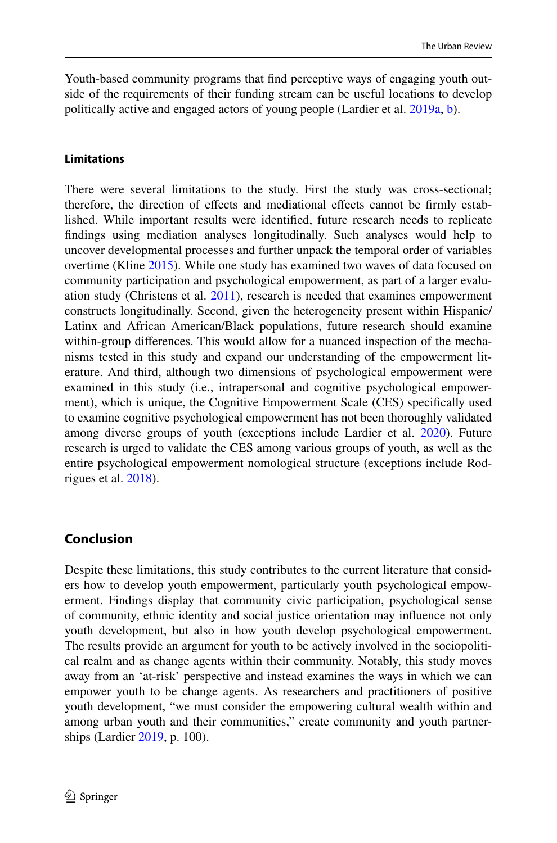Youth-based community programs that fnd perceptive ways of engaging youth outside of the requirements of their funding stream can be useful locations to develop politically active and engaged actors of young people (Lardier et al. [2019a,](#page-18-1) [b\)](#page-18-2).

### **Limitations**

There were several limitations to the study. First the study was cross-sectional; therefore, the direction of effects and mediational effects cannot be firmly established. While important results were identifed, future research needs to replicate fndings using mediation analyses longitudinally. Such analyses would help to uncover developmental processes and further unpack the temporal order of variables overtime (Kline [2015](#page-17-20)). While one study has examined two waves of data focused on community participation and psychological empowerment, as part of a larger evaluation study (Christens et al. [2011](#page-16-10)), research is needed that examines empowerment constructs longitudinally. Second, given the heterogeneity present within Hispanic/ Latinx and African American/Black populations, future research should examine within-group diferences. This would allow for a nuanced inspection of the mechanisms tested in this study and expand our understanding of the empowerment literature. And third, although two dimensions of psychological empowerment were examined in this study (i.e., intrapersonal and cognitive psychological empowerment), which is unique, the Cognitive Empowerment Scale (CES) specifcally used to examine cognitive psychological empowerment has not been thoroughly validated among diverse groups of youth (exceptions include Lardier et al. [2020\)](#page-18-3). Future research is urged to validate the CES among various groups of youth, as well as the entire psychological empowerment nomological structure (exceptions include Rodrigues et al. [2018](#page-19-5)).

## **Conclusion**

Despite these limitations, this study contributes to the current literature that considers how to develop youth empowerment, particularly youth psychological empowerment. Findings display that community civic participation, psychological sense of community, ethnic identity and social justice orientation may infuence not only youth development, but also in how youth develop psychological empowerment. The results provide an argument for youth to be actively involved in the sociopolitical realm and as change agents within their community. Notably, this study moves away from an 'at-risk' perspective and instead examines the ways in which we can empower youth to be change agents. As researchers and practitioners of positive youth development, "we must consider the empowering cultural wealth within and among urban youth and their communities," create community and youth partnerships (Lardier [2019](#page-17-7), p. 100).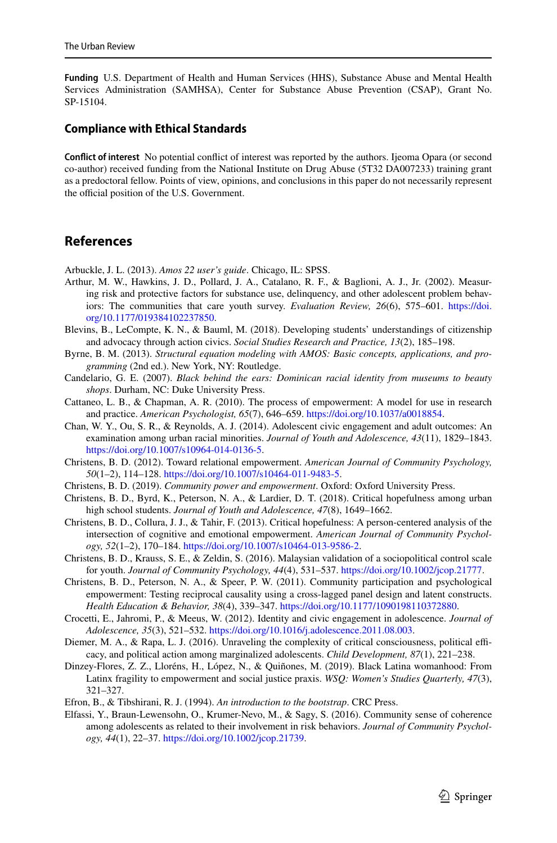**Funding** U.S. Department of Health and Human Services (HHS), Substance Abuse and Mental Health Services Administration (SAMHSA), Center for Substance Abuse Prevention (CSAP), Grant No. SP-15104.

#### **Compliance with Ethical Standards**

**Confict of interest** No potential confict of interest was reported by the authors. Ijeoma Opara (or second co-author) received funding from the National Institute on Drug Abuse (5T32 DA007233) training grant as a predoctoral fellow. Points of view, opinions, and conclusions in this paper do not necessarily represent the official position of the U.S. Government.

# **References**

<span id="page-16-16"></span>Arbuckle, J. L. (2013). *Amos 22 user's guide*. Chicago, IL: SPSS.

- <span id="page-16-14"></span>Arthur, M. W., Hawkins, J. D., Pollard, J. A., Catalano, R. F., & Baglioni, A. J., Jr. (2002). Measuring risk and protective factors for substance use, delinquency, and other adolescent problem behaviors: The communities that care youth survey. *Evaluation Review, 26*(6), 575–601. [https://doi.](https://doi.org/10.1177/019384102237850) [org/10.1177/019384102237850](https://doi.org/10.1177/019384102237850).
- <span id="page-16-9"></span>Blevins, B., LeCompte, K. N., & Bauml, M. (2018). Developing students' understandings of citizenship and advocacy through action civics. *Social Studies Research and Practice, 13*(2), 185–198.
- <span id="page-16-15"></span>Byrne, B. M. (2013). *Structural equation modeling with AMOS: Basic concepts, applications, and programming* (2nd ed.). New York, NY: Routledge.
- <span id="page-16-12"></span>Candelario, G. E. (2007). *Black behind the ears: Dominican racial identity from museums to beauty shops*. Durham, NC: Duke University Press.
- <span id="page-16-13"></span>Cattaneo, L. B., & Chapman, A. R. (2010). The process of empowerment: A model for use in research and practice. *American Psychologist, 65*(7), 646–659. [https://doi.org/10.1037/a0018854.](https://doi.org/10.1037/a0018854)
- <span id="page-16-3"></span>Chan, W. Y., Ou, S. R., & Reynolds, A. J. (2014). Adolescent civic engagement and adult outcomes: An examination among urban racial minorities. *Journal of Youth and Adolescence, 43*(11), 1829–1843. [https://doi.org/10.1007/s10964-014-0136-5.](https://doi.org/10.1007/s10964-014-0136-5)
- <span id="page-16-5"></span>Christens, B. D. (2012). Toward relational empowerment. *American Journal of Community Psychology, 50*(1–2), 114–128. [https://doi.org/10.1007/s10464-011-9483-5.](https://doi.org/10.1007/s10464-011-9483-5)
- <span id="page-16-2"></span>Christens, B. D. (2019). *Community power and empowerment*. Oxford: Oxford University Press.
- <span id="page-16-0"></span>Christens, B. D., Byrd, K., Peterson, N. A., & Lardier, D. T. (2018). Critical hopefulness among urban high school students. *Journal of Youth and Adolescence, 47*(8), 1649–1662.
- <span id="page-16-6"></span>Christens, B. D., Collura, J. J., & Tahir, F. (2013). Critical hopefulness: A person-centered analysis of the intersection of cognitive and emotional empowerment. *American Journal of Community Psychology, 52*(1–2), 170–184. <https://doi.org/10.1007/s10464-013-9586-2>.
- <span id="page-16-11"></span>Christens, B. D., Krauss, S. E., & Zeldin, S. (2016). Malaysian validation of a sociopolitical control scale for youth. *Journal of Community Psychology, 44*(4), 531–537.<https://doi.org/10.1002/jcop.21777>.
- <span id="page-16-10"></span>Christens, B. D., Peterson, N. A., & Speer, P. W. (2011). Community participation and psychological empowerment: Testing reciprocal causality using a cross-lagged panel design and latent constructs. *Health Education & Behavior, 38*(4), 339–347. [https://doi.org/10.1177/1090198110372880.](https://doi.org/10.1177/1090198110372880)
- <span id="page-16-7"></span>Crocetti, E., Jahromi, P., & Meeus, W. (2012). Identity and civic engagement in adolescence. *Journal of Adolescence, 35*(3), 521–532. [https://doi.org/10.1016/j.adolescence.2011.08.003.](https://doi.org/10.1016/j.adolescence.2011.08.003)
- <span id="page-16-1"></span>Diemer, M. A., & Rapa, L. J. (2016). Unraveling the complexity of critical consciousness, political efficacy, and political action among marginalized adolescents. *Child Development, 87*(1), 221–238.
- <span id="page-16-4"></span>Dinzey-Flores, Z. Z., Lloréns, H., López, N., & Quiñones, M. (2019). Black Latina womanhood: From Latinx fragility to empowerment and social justice praxis. *WSQ: Women's Studies Quarterly, 47*(3), 321–327.
- <span id="page-16-17"></span>Efron, B., & Tibshirani, R. J. (1994). *An introduction to the bootstrap*. CRC Press.
- <span id="page-16-8"></span>Elfassi, Y., Braun-Lewensohn, O., Krumer-Nevo, M., & Sagy, S. (2016). Community sense of coherence among adolescents as related to their involvement in risk behaviors. *Journal of Community Psychology, 44*(1), 22–37. <https://doi.org/10.1002/jcop.21739>.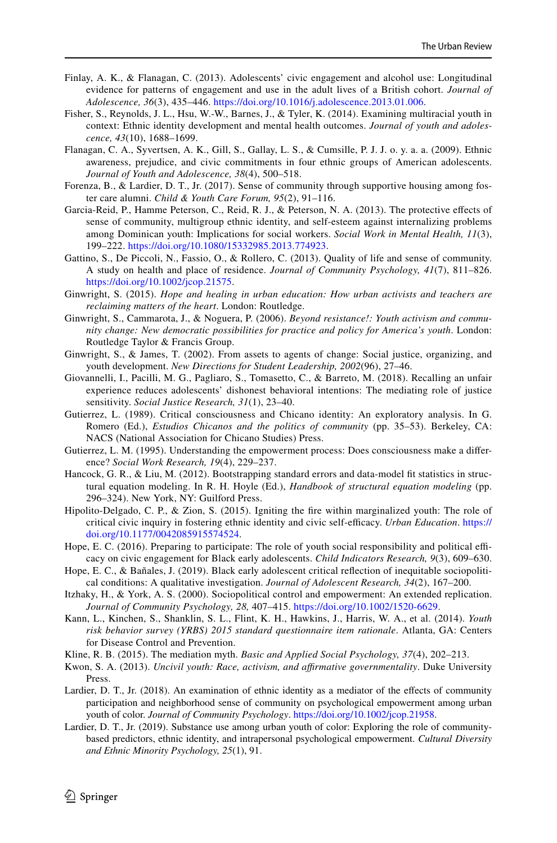- <span id="page-17-2"></span>Finlay, A. K., & Flanagan, C. (2013). Adolescents' civic engagement and alcohol use: Longitudinal evidence for patterns of engagement and use in the adult lives of a British cohort. *Journal of Adolescence, 36*(3), 435–446. <https://doi.org/10.1016/j.adolescence.2013.01.006>.
- <span id="page-17-12"></span>Fisher, S., Reynolds, J. L., Hsu, W.-W., Barnes, J., & Tyler, K. (2014). Examining multiracial youth in context: Ethnic identity development and mental health outcomes. *Journal of youth and adolescence, 43*(10), 1688–1699.
- <span id="page-17-18"></span>Flanagan, C. A., Syvertsen, A. K., Gill, S., Gallay, L. S., & Cumsille, P. J. J. o. y. a. a. (2009). Ethnic awareness, prejudice, and civic commitments in four ethnic groups of American adolescents. *Journal of Youth and Adolescence, 38*(4), 500–518.
- <span id="page-17-8"></span>Forenza, B., & Lardier, D. T., Jr. (2017). Sense of community through supportive housing among foster care alumni. *Child & Youth Care Forum, 95*(2), 91–116.
- <span id="page-17-16"></span>Garcia-Reid, P., Hamme Peterson, C., Reid, R. J., & Peterson, N. A. (2013). The protective efects of sense of community, multigroup ethnic identity, and self-esteem against internalizing problems among Dominican youth: Implications for social workers. *Social Work in Mental Health, 11*(3), 199–222. <https://doi.org/10.1080/15332985.2013.774923>.
- <span id="page-17-9"></span>Gattino, S., De Piccoli, N., Fassio, O., & Rollero, C. (2013). Quality of life and sense of community. A study on health and place of residence. *Journal of Community Psychology, 41*(7), 811–826. <https://doi.org/10.1002/jcop.21575>.
- <span id="page-17-0"></span>Ginwright, S. (2015). *Hope and healing in urban education: How urban activists and teachers are reclaiming matters of the heart*. London: Routledge.
- <span id="page-17-11"></span>Ginwright, S., Cammarota, J., & Noguera, P. (2006). *Beyond resistance!: Youth activism and community change: New democratic possibilities for practice and policy for America's youth*. London: Routledge Taylor & Francis Group.
- <span id="page-17-14"></span>Ginwright, S., & James, T. (2002). From assets to agents of change: Social justice, organizing, and youth development. *New Directions for Student Leadership, 2002*(96), 27–46.
- <span id="page-17-15"></span>Giovannelli, I., Pacilli, M. G., Pagliaro, S., Tomasetto, C., & Barreto, M. (2018). Recalling an unfair experience reduces adolescents' dishonest behavioral intentions: The mediating role of justice sensitivity. *Social Justice Research, 31*(1), 23–40.
- <span id="page-17-10"></span>Gutierrez, L. (1989). Critical consciousness and Chicano identity: An exploratory analysis. In G. Romero (Ed.), *Estudios Chicanos and the politics of community* (pp. 35–53). Berkeley, CA: NACS (National Association for Chicano Studies) Press.
- <span id="page-17-13"></span>Gutierrez, L. M. (1995). Understanding the empowerment process: Does consciousness make a diference? *Social Work Research, 19*(4), 229–237.
- <span id="page-17-19"></span>Hancock, G. R., & Liu, M. (2012). Bootstrapping standard errors and data-model ft statistics in structural equation modeling. In R. H. Hoyle (Ed.), *Handbook of structural equation modeling* (pp. 296–324). New York, NY: Guilford Press.
- <span id="page-17-4"></span>Hipolito-Delgado, C. P., & Zion, S. (2015). Igniting the fre within marginalized youth: The role of critical civic inquiry in fostering ethnic identity and civic self-efcacy. *Urban Education*. [https://](https://doi.org/10.1177/0042085915574524) [doi.org/10.1177/0042085915574524.](https://doi.org/10.1177/0042085915574524)
- <span id="page-17-3"></span>Hope, E. C. (2016). Preparing to participate: The role of youth social responsibility and political efficacy on civic engagement for Black early adolescents. *Child Indicators Research, 9*(3), 609–630.
- <span id="page-17-5"></span>Hope, E. C., & Bañales, J. (2019). Black early adolescent critical refection of inequitable sociopolitical conditions: A qualitative investigation. *Journal of Adolescent Research, 34*(2), 167–200.
- <span id="page-17-1"></span>Itzhaky, H., & York, A. S. (2000). Sociopolitical control and empowerment: An extended replication. *Journal of Community Psychology, 28,* 407–415. [https://doi.org/10.1002/1520-6629.](https://doi.org/10.1002/1520-6629)
- <span id="page-17-17"></span>Kann, L., Kinchen, S., Shanklin, S. L., Flint, K. H., Hawkins, J., Harris, W. A., et al. (2014). *Youth risk behavior survey (YRBS) 2015 standard questionnaire item rationale*. Atlanta, GA: Centers for Disease Control and Prevention.
- <span id="page-17-20"></span>Kline, R. B. (2015). The mediation myth. *Basic and Applied Social Psychology, 37*(4), 202–213.
- <span id="page-17-21"></span>Kwon, S. A. (2013). *Uncivil youth: Race, activism, and afrmative governmentality*. Duke University Press.
- <span id="page-17-6"></span>Lardier, D. T., Jr. (2018). An examination of ethnic identity as a mediator of the efects of community participation and neighborhood sense of community on psychological empowerment among urban youth of color. *Journal of Community Psychology*. [https://doi.org/10.1002/jcop.21958.](https://doi.org/10.1002/jcop.21958)
- <span id="page-17-7"></span>Lardier, D. T., Jr. (2019). Substance use among urban youth of color: Exploring the role of communitybased predictors, ethnic identity, and intrapersonal psychological empowerment. *Cultural Diversity and Ethnic Minority Psychology, 25*(1), 91.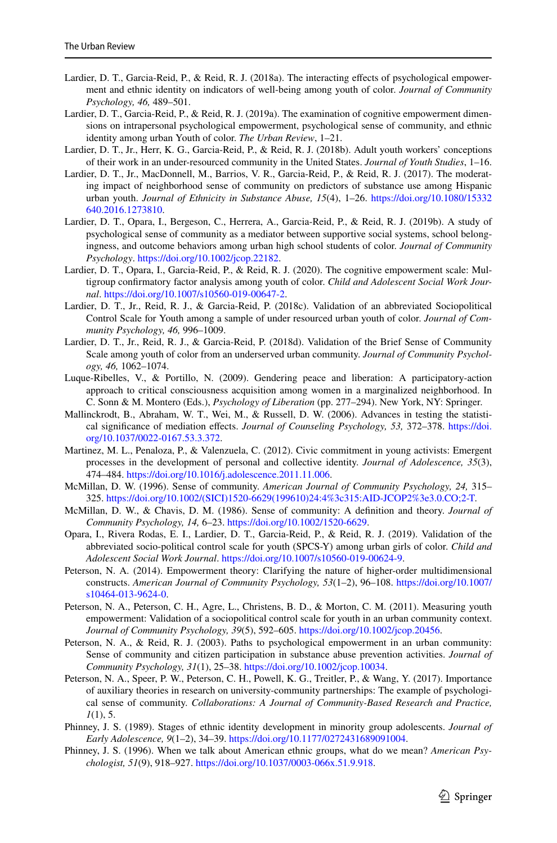- <span id="page-18-8"></span>Lardier, D. T., Garcia-Reid, P., & Reid, R. J. (2018a). The interacting effects of psychological empowerment and ethnic identity on indicators of well-being among youth of color. *Journal of Community Psychology, 46,* 489–501.
- <span id="page-18-1"></span>Lardier, D. T., Garcia-Reid, P., & Reid, R. J. (2019a). The examination of cognitive empowerment dimensions on intrapersonal psychological empowerment, psychological sense of community, and ethnic identity among urban Youth of color. *The Urban Review*, 1–21.
- <span id="page-18-0"></span>Lardier, D. T., Jr., Herr, K. G., Garcia-Reid, P., & Reid, R. J. (2018b). Adult youth workers' conceptions of their work in an under-resourced community in the United States. *Journal of Youth Studies*, 1–16.
- <span id="page-18-15"></span>Lardier, D. T., Jr., MacDonnell, M., Barrios, V. R., Garcia-Reid, P., & Reid, R. J. (2017). The moderating impact of neighborhood sense of community on predictors of substance use among Hispanic urban youth. *Journal of Ethnicity in Substance Abuse, 15*(4), 1–26. [https://doi.org/10.1080/15332](https://doi.org/10.1080/15332640.2016.1273810) [640.2016.1273810](https://doi.org/10.1080/15332640.2016.1273810).
- <span id="page-18-2"></span>Lardier, D. T., Opara, I., Bergeson, C., Herrera, A., Garcia-Reid, P., & Reid, R. J. (2019b). A study of psychological sense of community as a mediator between supportive social systems, school belongingness, and outcome behaviors among urban high school students of color. *Journal of Community Psychology*. [https://doi.org/10.1002/jcop.22182.](https://doi.org/10.1002/jcop.22182)
- <span id="page-18-3"></span>Lardier, D. T., Opara, I., Garcia-Reid, P., & Reid, R. J. (2020). The cognitive empowerment scale: Multigroup confrmatory factor analysis among youth of color. *Child and Adolescent Social Work Journal*. [https://doi.org/10.1007/s10560-019-00647-2.](https://doi.org/10.1007/s10560-019-00647-2)
- <span id="page-18-6"></span>Lardier, D. T., Jr., Reid, R. J., & Garcia-Reid, P. (2018c). Validation of an abbreviated Sociopolitical Control Scale for Youth among a sample of under resourced urban youth of color. *Journal of Community Psychology, 46,* 996–1009.
- <span id="page-18-14"></span>Lardier, D. T., Jr., Reid, R. J., & Garcia-Reid, P. (2018d). Validation of the Brief Sense of Community Scale among youth of color from an underserved urban community. *Journal of Community Psychology, 46,* 1062–1074.
- <span id="page-18-19"></span>Luque-Ribelles, V., & Portillo, N. (2009). Gendering peace and liberation: A participatory-action approach to critical consciousness acquisition among women in a marginalized neighborhood. In C. Sonn & M. Montero (Eds.), *Psychology of Liberation* (pp. 277–294). New York, NY: Springer.
- <span id="page-18-18"></span>Mallinckrodt, B., Abraham, W. T., Wei, M., & Russell, D. W. (2006). Advances in testing the statistical signifcance of mediation efects. *Journal of Counseling Psychology, 53,* 372–378. [https://doi.](https://doi.org/10.1037/0022-0167.53.3.372) [org/10.1037/0022-0167.53.3.372.](https://doi.org/10.1037/0022-0167.53.3.372)
- <span id="page-18-10"></span>Martinez, M. L., Penaloza, P., & Valenzuela, C. (2012). Civic commitment in young activists: Emergent processes in the development of personal and collective identity. *Journal of Adolescence, 35*(3), 474–484.<https://doi.org/10.1016/j.adolescence.2011.11.006>.
- <span id="page-18-13"></span>McMillan, D. W. (1996). Sense of community. *American Journal of Community Psychology, 24,* 315– 325. [https://doi.org/10.1002/\(SICI\)1520-6629\(199610\)24:4%3c315:AID-JCOP2%3e3.0.CO;2-T.](https://doi.org/10.1002/(SICI)1520-6629(199610)24:4%3c315:AID-JCOP2%3e3.0.CO;2-T)
- <span id="page-18-11"></span>McMillan, D. W., & Chavis, D. M. (1986). Sense of community: A defnition and theory. *Journal of Community Psychology, 14,* 6–23. [https://doi.org/10.1002/1520-6629.](https://doi.org/10.1002/1520-6629)
- <span id="page-18-7"></span>Opara, I., Rivera Rodas, E. I., Lardier, D. T., Garcia-Reid, P., & Reid, R. J. (2019). Validation of the abbreviated socio-political control scale for youth (SPCS-Y) among urban girls of color. *Child and Adolescent Social Work Journal*. [https://doi.org/10.1007/s10560-019-00624-9.](https://doi.org/10.1007/s10560-019-00624-9)
- <span id="page-18-4"></span>Peterson, N. A. (2014). Empowerment theory: Clarifying the nature of higher-order multidimensional constructs. *American Journal of Community Psychology, 53*(1–2), 96–108. [https://doi.org/10.1007/](https://doi.org/10.1007/s10464-013-9624-0) [s10464-013-9624-0](https://doi.org/10.1007/s10464-013-9624-0).
- <span id="page-18-5"></span>Peterson, N. A., Peterson, C. H., Agre, L., Christens, B. D., & Morton, C. M. (2011). Measuring youth empowerment: Validation of a sociopolitical control scale for youth in an urban community context. *Journal of Community Psychology, 39*(5), 592–605.<https://doi.org/10.1002/jcop.20456>.
- <span id="page-18-9"></span>Peterson, N. A., & Reid, R. J. (2003). Paths to psychological empowerment in an urban community: Sense of community and citizen participation in substance abuse prevention activities. *Journal of Community Psychology, 31*(1), 25–38. <https://doi.org/10.1002/jcop.10034>.
- <span id="page-18-12"></span>Peterson, N. A., Speer, P. W., Peterson, C. H., Powell, K. G., Treitler, P., & Wang, Y. (2017). Importance of auxiliary theories in research on university-community partnerships: The example of psychological sense of community. *Collaborations: A Journal of Community-Based Research and Practice, 1*(1), 5.
- <span id="page-18-16"></span>Phinney, J. S. (1989). Stages of ethnic identity development in minority group adolescents. *Journal of Early Adolescence, 9*(1–2), 34–39. <https://doi.org/10.1177/0272431689091004>.
- <span id="page-18-17"></span>Phinney, J. S. (1996). When we talk about American ethnic groups, what do we mean? *American Psychologist, 51*(9), 918–927. [https://doi.org/10.1037/0003-066x.51.9.918.](https://doi.org/10.1037/0003-066x.51.9.918)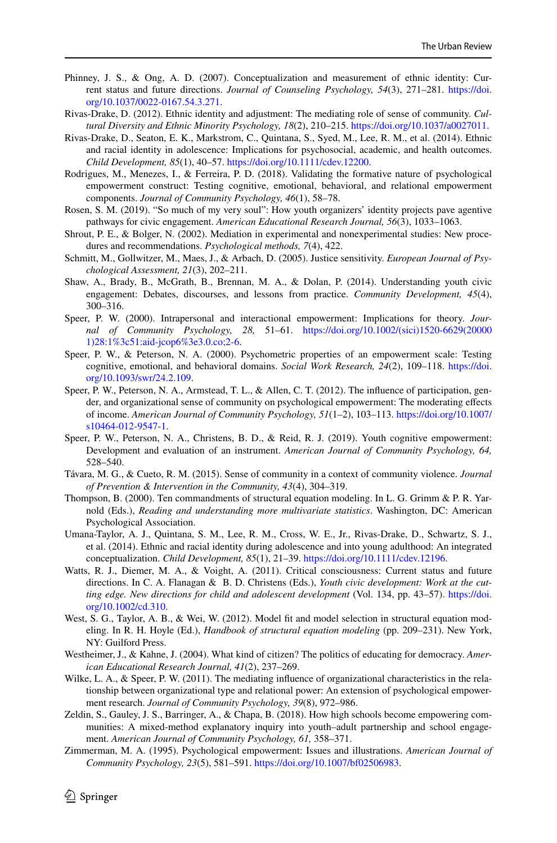- <span id="page-19-10"></span>Phinney, J. S., & Ong, A. D. (2007). Conceptualization and measurement of ethnic identity: Current status and future directions. *Journal of Counseling Psychology, 54*(3), 271–281. [https://doi.](https://doi.org/10.1037/0022-0167.54.3.271) [org/10.1037/0022-0167.54.3.271.](https://doi.org/10.1037/0022-0167.54.3.271)
- <span id="page-19-7"></span>Rivas-Drake, D. (2012). Ethnic identity and adjustment: The mediating role of sense of community. *Cultural Diversity and Ethnic Minority Psychology, 18*(2), 210–215.<https://doi.org/10.1037/a0027011>.
- <span id="page-19-11"></span>Rivas-Drake, D., Seaton, E. K., Markstrom, C., Quintana, S., Syed, M., Lee, R. M., et al. (2014). Ethnic and racial identity in adolescence: Implications for psychosocial, academic, and health outcomes. *Child Development, 85*(1), 40–57.<https://doi.org/10.1111/cdev.12200>.
- <span id="page-19-5"></span>Rodrigues, M., Menezes, I., & Ferreira, P. D. (2018). Validating the formative nature of psychological empowerment construct: Testing cognitive, emotional, behavioral, and relational empowerment components. *Journal of Community Psychology, 46*(1), 58–78.
- <span id="page-19-9"></span>Rosen, S. M. (2019). "So much of my very soul": How youth organizers' identity projects pave agentive pathways for civic engagement. *American Educational Research Journal, 56*(3), 1033–1063.
- <span id="page-19-20"></span>Shrout, P. E., & Bolger, N. (2002). Mediation in experimental and nonexperimental studies: New procedures and recommendations. *Psychological methods, 7*(4), 422.
- <span id="page-19-16"></span>Schmitt, M., Gollwitzer, M., Maes, J., & Arbach, D. (2005). Justice sensitivity. *European Journal of Psychological Assessment, 21*(3), 202–211.
- <span id="page-19-15"></span>Shaw, A., Brady, B., McGrath, B., Brennan, M. A., & Dolan, P. (2014). Understanding youth civic engagement: Debates, discourses, and lessons from practice. *Community Development, 45*(4), 300–316.
- <span id="page-19-4"></span>Speer, P. W. (2000). Intrapersonal and interactional empowerment: Implications for theory. *Journal of Community Psychology, 28,* 51–61. [https://doi.org/10.1002/\(sici\)1520-6629\(20000](https://doi.org/10.1002/(sici)1520-6629(200001)28:1%3c51:aid-jcop6%3e3.0.co;2-6) [1\)28:1%3c51:aid-jcop6%3e3.0.co;2-6.](https://doi.org/10.1002/(sici)1520-6629(200001)28:1%3c51:aid-jcop6%3e3.0.co;2-6)
- <span id="page-19-6"></span>Speer, P. W., & Peterson, N. A. (2000). Psychometric properties of an empowerment scale: Testing cognitive, emotional, and behavioral domains. *Social Work Research, 24*(2), 109–118. [https://doi.](https://doi.org/10.1093/swr/24.2.109) [org/10.1093/swr/24.2.109.](https://doi.org/10.1093/swr/24.2.109)
- <span id="page-19-2"></span>Speer, P. W., Peterson, N. A., Armstead, T. L., & Allen, C. T. (2012). The influence of participation, gender, and organizational sense of community on psychological empowerment: The moderating efects of income. *American Journal of Community Psychology, 51*(1–2), 103–113. [https://doi.org/10.1007/](https://doi.org/10.1007/s10464-012-9547-1) [s10464-012-9547-1](https://doi.org/10.1007/s10464-012-9547-1).
- <span id="page-19-18"></span>Speer, P. W., Peterson, N. A., Christens, B. D., & Reid, R. J. (2019). Youth cognitive empowerment: Development and evaluation of an instrument. *American Journal of Community Psychology, 64,* 528–540.
- <span id="page-19-8"></span>Távara, M. G., & Cueto, R. M. (2015). Sense of community in a context of community violence. *Journal of Prevention & Intervention in the Community, 43*(4), 304–319.
- <span id="page-19-17"></span>Thompson, B. (2000). Ten commandments of structural equation modeling. In L. G. Grimm & P. R. Yarnold (Eds.), *Reading and understanding more multivariate statistics*. Washington, DC: American Psychological Association.
- <span id="page-19-12"></span>Umana-Taylor, A. J., Quintana, S. M., Lee, R. M., Cross, W. E., Jr., Rivas-Drake, D., Schwartz, S. J., et al. (2014). Ethnic and racial identity during adolescence and into young adulthood: An integrated conceptualization. *Child Development, 85*(1), 21–39. <https://doi.org/10.1111/cdev.12196>.
- <span id="page-19-13"></span>Watts, R. J., Diemer, M. A., & Voight, A. (2011). Critical consciousness: Current status and future directions. In C. A. Flanagan & B. D. Christens (Eds.), *Youth civic development: Work at the cutting edge. New directions for child and adolescent development* (Vol. 134, pp. 43–57). [https://doi.](https://doi.org/10.1002/cd.310) [org/10.1002/cd.310.](https://doi.org/10.1002/cd.310)
- <span id="page-19-19"></span>West, S. G., Taylor, A. B., & Wei, W. (2012). Model fit and model selection in structural equation modeling. In R. H. Hoyle (Ed.), *Handbook of structural equation modeling* (pp. 209–231). New York, NY: Guilford Press.
- <span id="page-19-14"></span>Westheimer, J., & Kahne, J. (2004). What kind of citizen? The politics of educating for democracy. *American Educational Research Journal, 41*(2), 237–269.
- <span id="page-19-3"></span>Wilke, L. A., & Speer, P. W. (2011). The mediating influence of organizational characteristics in the relationship between organizational type and relational power: An extension of psychological empowerment research. *Journal of Community Psychology, 39*(8), 972–986.
- <span id="page-19-0"></span>Zeldin, S., Gauley, J. S., Barringer, A., & Chapa, B. (2018). How high schools become empowering communities: A mixed-method explanatory inquiry into youth–adult partnership and school engagement. *American Journal of Community Psychology, 61,* 358–371.
- <span id="page-19-1"></span>Zimmerman, M. A. (1995). Psychological empowerment: Issues and illustrations. *American Journal of Community Psychology, 23*(5), 581–591. [https://doi.org/10.1007/bf02506983.](https://doi.org/10.1007/bf02506983)